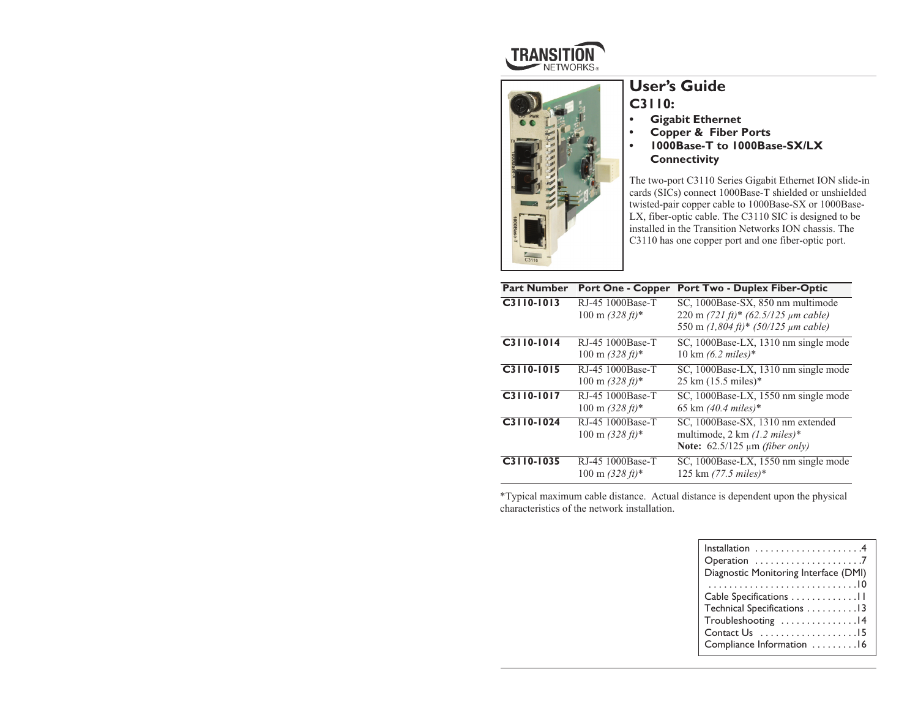



# **User's Guide C3110:**

- *•***Gigabit Ethernet**
- **• Copper & Fiber Ports**
- **• 1000Base-T to 1000Base-SX/LX Connectivity**

The two-port C3110 Series Gigabit Ethernet ION slide-in cards (SICs) connect 1000Base-T shielded or unshielded twisted-pair copper cable to 1000Base-SX or 1000Base-LX, fiber-optic cable. The C3110 SIC is designed to be installed in the Transition Networks ION chassis. The C3110 has one copper port and one fiber-optic port.

| <b>Part Number</b> | <b>Port One - Copper</b>                                | <b>Port Two - Duplex Fiber-Optic</b>                                                                                                            |
|--------------------|---------------------------------------------------------|-------------------------------------------------------------------------------------------------------------------------------------------------|
| C3110-1013         | RJ-45 1000Base-T<br>$100 \text{ m } (328 \text{ ft})^*$ | SC, 1000Base-SX, 850 nm multimode<br>220 m $(721 \text{ ft})$ * $(62.5/125 \text{ µm cable})$<br>550 m $(1,804 \text{ ft})$ * (50/125 µm cable) |
| C3110-1014         | RJ-45 1000Base-T<br>$100 \text{ m } (328 \text{ ft})^*$ | SC, 1000Base-LX, 1310 nm single mode<br>$10 \text{ km } (6.2 \text{ miles})^*$                                                                  |
| C3110-1015         | RJ-45 1000Base-T<br>$100 \text{ m } (328 \text{ ft})^*$ | SC, 1000Base-LX, 1310 nm single mode<br>$25 \text{ km } (15.5 \text{ miles})$ *                                                                 |
| C3110-1017         | RJ-45 1000Base-T<br>$100 \text{ m } (328 \text{ ft})^*$ | SC, 1000Base-LX, 1550 nm single mode<br>65 km $(40.4 \text{ miles})$ *                                                                          |
| C3110-1024         | RJ-45 1000Base-T<br>$100 \text{ m } (328 \text{ ft})^*$ | SC, 1000Base-SX, 1310 nm extended<br>multimode, 2 km $(1.2 \text{ miles})$ *<br>Note: $62.5/125 \mu m$ (fiber only)                             |
| C3110-1035         | RJ-45 1000Base-T<br>$100 \text{ m } (328 \text{ ft})$ * | SC, 1000Base-LX, 1550 nm single mode<br>125 km (77.5 miles)*                                                                                    |

\*Typical maximum cable distance. Actual distance is dependent upon the physical characteristics of the network installation.

| Installation $\ldots \ldots \ldots \ldots \ldots$<br>Diagnostic Monitoring Interface (DMI) |
|--------------------------------------------------------------------------------------------|
|                                                                                            |
| Cable Specifications 11                                                                    |
| Technical Specifications 13                                                                |
| Troubleshooting 14                                                                         |
| Contact Us 15                                                                              |
| Compliance Information 16                                                                  |
|                                                                                            |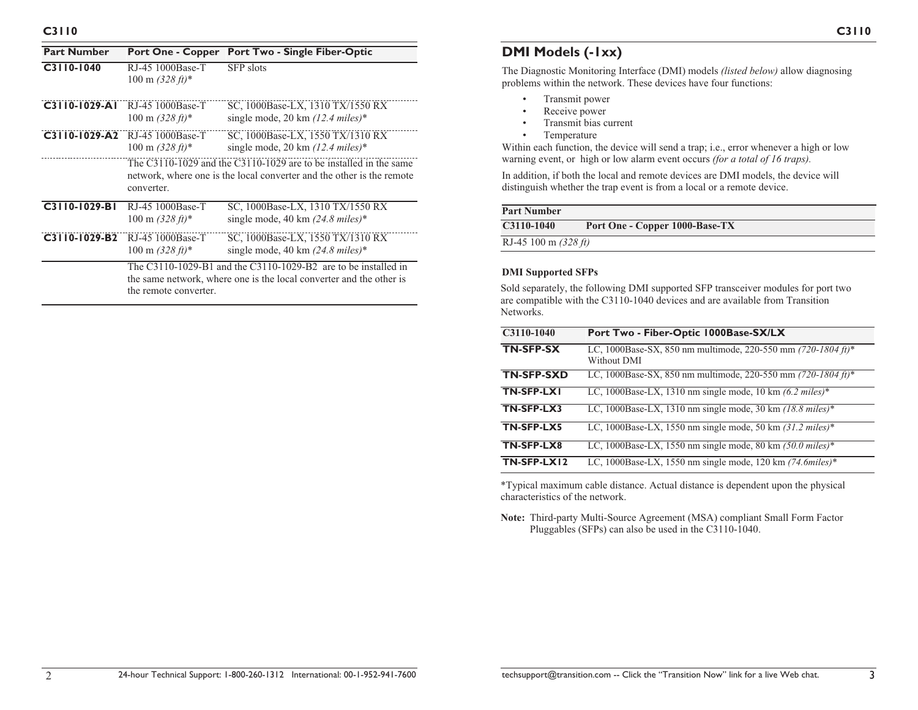| <b>Part Number</b> | <b>Port One - Copper</b>                                | <b>Port Two - Single Fiber-Optic</b>                                                                                                               |  |
|--------------------|---------------------------------------------------------|----------------------------------------------------------------------------------------------------------------------------------------------------|--|
| C3110-1040         | RJ-45 1000Base-T<br>$100 \text{ m } (328 \text{ ft})$ * | <b>SFP</b> slots                                                                                                                                   |  |
| $C3110-1029-Al$    | RJ-45 1000Base-T<br>$100 \text{ m } (328 \text{ ft})^*$ | SC, 1000Base-LX, 1310 TX/1550 RX<br>single mode, 20 km $(12.4 \text{ miles})^*$                                                                    |  |
| $C3110-1029-A2$    | RJ-45 1000Base-T<br>$100 \text{ m } (328 \text{ ft})$ * | SC, 1000Base-LX, 1550 TX/1310 RX<br>single mode, 20 km $(12.4 \text{ miles})^*$                                                                    |  |
|                    | converter.                                              | The $C_3$ 110-1029 and the $C_3$ 110-1029 are to be installed in the same<br>network, where one is the local converter and the other is the remote |  |
| C3110-1029-BI      | RJ-45 1000Base-T<br>$100 \text{ m } (328 \text{ ft})^*$ | SC, 1000Base-LX, 1310 TX/1550 RX<br>single mode, 40 km $(24.8 \text{ miles})^*$                                                                    |  |
| C3110-1029-B2      | RJ-45 1000Base-T<br>$100 \text{ m } (328 \text{ ft})^*$ | SC, 1000Base-LX, 1550 TX/1310 RX<br>single mode, 40 km $(24.8 \text{ miles})^*$                                                                    |  |
|                    | the remote converter.                                   | The C3110-1029-B1 and the C3110-1029-B2 are to be installed in<br>the same network, where one is the local converter and the other is              |  |

## **DMI Models (-1xx)**

The Diagnostic Monitoring Interface (DMI) models *(listed below)* allow diagnosing problems within the network. These devices have four functions:

- •Transmit power
- •Receive power
- •Transmit bias current
- •Temperature

Within each function, the device will send a trap; i.e., error whenever a high or low warning event, or high or low alarm event occurs *(for a total of 16 traps).*

In addition, if both the local and remote devices are DMI models, the device will distinguish whether the trap event is from a local or a remote device.

| <b>Part Number</b>     |                                |  |
|------------------------|--------------------------------|--|
| $C3110-1040$           | Port One - Copper 1000-Base-TX |  |
| RJ-45 100 m $(328 ft)$ |                                |  |

#### **DMI Supported SFPs**

Sold separately, the following DMI supported SFP transceiver modules for port two are compatible with the C3110-1040 devices and are available from Transition Networks.

| C3110-1040        | Port Two - Fiber-Optic 1000Base-SX/LX                                           |
|-------------------|---------------------------------------------------------------------------------|
| <b>TN-SFP-SX</b>  | LC, 1000Base-SX, 850 nm multimode, 220-550 mm (720-1804 ft)*<br>Without DMI     |
| <b>TN-SFP-SXD</b> | LC, 1000Base-SX, 850 nm multimode, 220-550 mm (720-1804 ft)*                    |
| TN-SFP-LX1        | LC, 1000Base-LX, 1310 nm single mode, 10 km $(6.2 \text{ miles})$ *             |
| TN-SFP-LX3        | LC, 1000Base-LX, 1310 nm single mode, 30 km $(18.8 \text{ miles})$ *            |
| TN-SFP-LX5        | LC, 1000Base-LX, 1550 nm single mode, 50 km $(31.2 \text{ miles})$ <sup>*</sup> |
| TN-SFP-LX8        | LC, 1000Base-LX, 1550 nm single mode, 80 km $(50.0$ miles)*                     |
| TN-SFP-LX12       | LC, 1000Base-LX, 1550 nm single mode, 120 km $(74.6miles)*$                     |

\*Typical maximum cable distance. Actual distance is dependent upon the physical characteristics of the network.

**Note:** Third-party Multi-Source Agreement (MSA) compliant Small Form Factor Pluggables (SFPs) can also be used in the C3110-1040.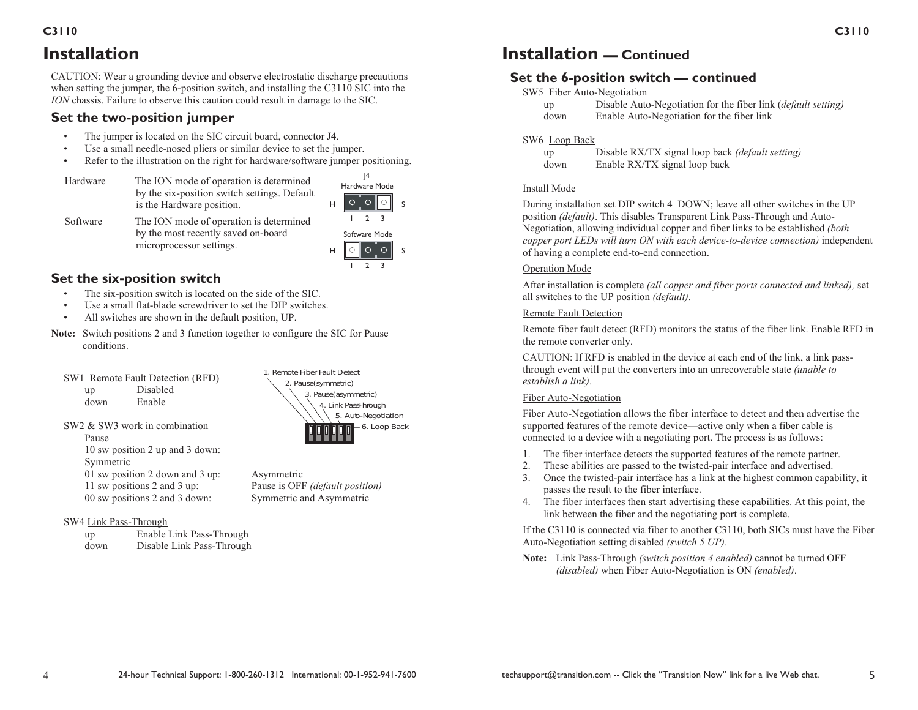# **Installation**

CAUTION: Wear a grounding device and observe electrostatic discharge precautions when setting the jumper, the 6-position switch, and installing the C3110 SIC into the *ION* chassis. Failure to observe this caution could result in damage to the SIC.

## **Set the two-position jumper**

- •The jumper is located on the SIC circuit board, connector J4.
- •Use a small needle-nosed pliers or similar device to set the jumper.
- •Refer to the illustration on the right for hardware/software jumper positioning.
- Hardware The ION mode of operation is determined by the six-position switch settings. Default is the Hardware position.



Software The ION mode of operation is determined by the most recently saved on-board microprocessor settings.

Software Mode  $\circ$   $\circ$   $\circ$   $\circ$   $\circ$ 2 3

# **Set the six-position switch**

- •The six-position switch is located on the side of the SIC.
- •Use a small flat-blade screwdriver to set the DIP switches.
- •All switches are shown in the default position, UP.
- **Note:** Switch positions 2 and 3 function together to configure the SIC for Pause conditions.
	- SW1 Remote Fault Detection (RFD) up Disabled down Enable

SW2 & SW3 work in combination

- 2. Pause *(symmetric)*  3. Pause *(asymmetric)*  4. Link PassThrough 5. Auto-Negotiation 1. Remote Fiber Fault Detect 6. Loop Back
- Pause 10 sw position 2 up and 3 down: Symmetric 01 sw position 2 down and 3 up: Asymmetric 11 sw positions 2 and 3 up: Pause is OFF *(default position)* 00 sw positions 2 and 3 down: Symmetric and Asymmetric
- SW4 Link Pass-Through

| up   | Enable Link Pass-Through  |
|------|---------------------------|
| down | Disable Link Pass-Through |

# **Set the 6-position switch — continued**

## SW5 Fiber Auto-Negotiation

| up   | Disable Auto-Negotiation for the fiber link ( <i>default setting</i> ) |
|------|------------------------------------------------------------------------|
| down | Enable Auto-Negotiation for the fiber link                             |

## SW6 Loop Back

| up   | Disable RX/TX signal loop back (default setting) |
|------|--------------------------------------------------|
| down | Enable RX/TX signal loop back                    |

#### Install Mode

During installation set DIP switch 4 DOWN; leave all other switches in the UP position *(default)*. This disables Transparent Link Pass-Through and Auto-Negotiation, allowing individual copper and fiber links to be established *(both copper port LEDs will turn ON with each device-to-device connection)* independent of having a complete end-to-end connection.

## Operation Mode

After installation is complete *(all copper and fiber ports connected and linked),* set all switches to the UP position *(default)*.

## Remote Fault Detection

Remote fiber fault detect (RFD) monitors the status of the fiber link. Enable RFD in the remote converter only.

CAUTION: If RFD is enabled in the device at each end of the link, a link passthrough event will put the converters into an unrecoverable state *(unable to establish a link)*.

## Fiber Auto-Negotiation

Fiber Auto-Negotiation allows the fiber interface to detect and then advertise the supported features of the remote device—active only when a fiber cable is connected to a device with a negotiating port. The process is as follows:

- 1. The fiber interface detects the supported features of the remote partner.
- 2. These abilities are passed to the twisted-pair interface and advertised.
- 3. Once the twisted-pair interface has a link at the highest common capability, it passes the result to the fiber interface.
- 4. The fiber interfaces then start advertising these capabilities. At this point, the link between the fiber and the negotiating port is complete.

If the C3110 is connected via fiber to another C3110, both SICs must have the Fiber Auto-Negotiation setting disabled *(switch 5 UP)*.

**Note:** Link Pass-Through *(switch position 4 enabled)* cannot be turned OFF *(disabled)* when Fiber Auto-Negotiation is ON *(enabled)*.

**C3110**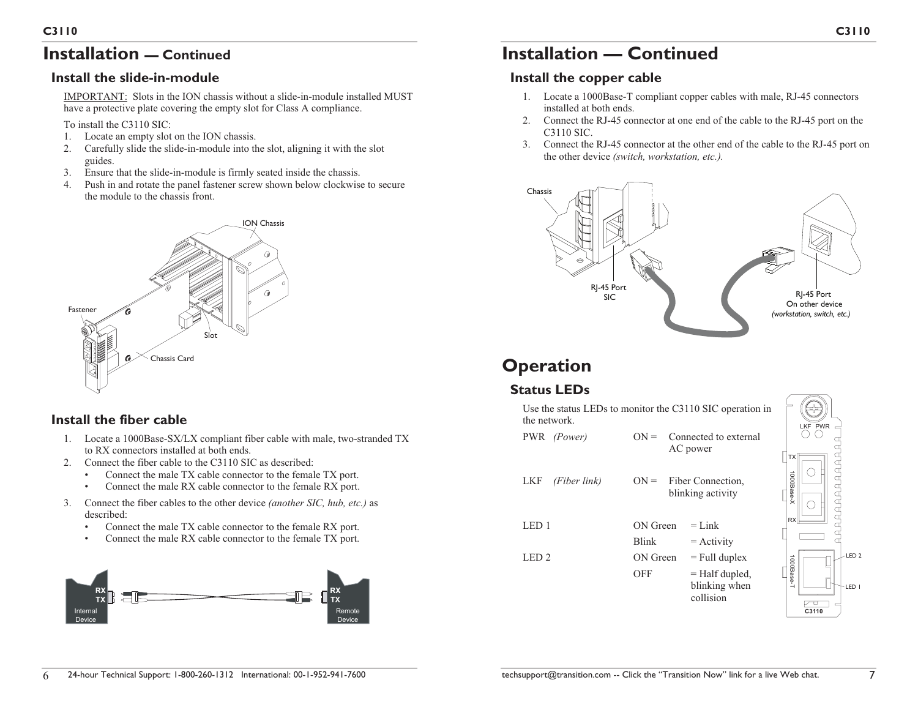# **Installation — Continued**

# **Install the slide-in-module**

IMPORTANT: Slots in the ION chassis without a slide-in-module installed MUST have a protective plate covering the empty slot for Class A compliance.

To install the C3110 SIC:

- 1. Locate an empty slot on the ION chassis.
- 2. Carefully slide the slide-in-module into the slot, aligning it with the slot guides.
- 3. Ensure that the slide-in-module is firmly seated inside the chassis.
- 4. Push in and rotate the panel fastener screw shown below clockwise to secure the module to the chassis front.

# Fastener Chassis Card ION Chassis Slot

# **Install the fiber cable**

- 1. Locate a 1000Base-SX/LX compliant fiber cable with male, two-stranded TX to RX connectors installed at both ends.
- 2. Connect the fiber cable to the C3110 SIC as described:
	- •Connect the male TX cable connector to the female TX port.
	- •Connect the male RX cable connector to the female RX port.
- 3. Connect the fiber cables to the other device *(another SIC, hub, etc.)* as described:
	- •Connect the male TX cable connector to the female RX port.
	- •Connect the male RX cable connector to the female TX port.



# **Installation — Continued**

# **Install the copper cable**

- 1. Locate a 1000Base-T compliant copper cables with male, RJ-45 connectors installed at both ends.
- 2. Connect the RJ-45 connector at one end of the cable to the RJ-45 port on the C3110 SIC.
- 3. Connect the RJ-45 connector at the other end of the cable to the RJ-45 port on the other device *(switch, workstation, etc.).*



# **Operation**

# **Status LEDs**

| Use the status LEDs to monitor the C3110 SIC operation in<br>the network. | LKF PWR                  |                                                                   |                       |
|---------------------------------------------------------------------------|--------------------------|-------------------------------------------------------------------|-----------------------|
| PWR (Power)                                                               | $ON =$                   | Connected to external<br>AC power                                 | ТX                    |
| <b>LKF</b><br>(Fiber link)                                                |                          | $ON =$ Fiber Connection,<br>blinking activity                     | AAAAAAA<br>1000Base-X |
| LED <sub>1</sub>                                                          | ON Green<br><b>Blink</b> | $=$ Link<br>$=$ Activity                                          | <b>RX</b>             |
| LED <sub>2</sub>                                                          | ON Green<br><b>OFF</b>   | $=$ Full duplex<br>$=$ Half dupled,<br>blinking when<br>collision | 1000Base-T<br>C3110   |

LED 1

LED 2

 $\bigcirc$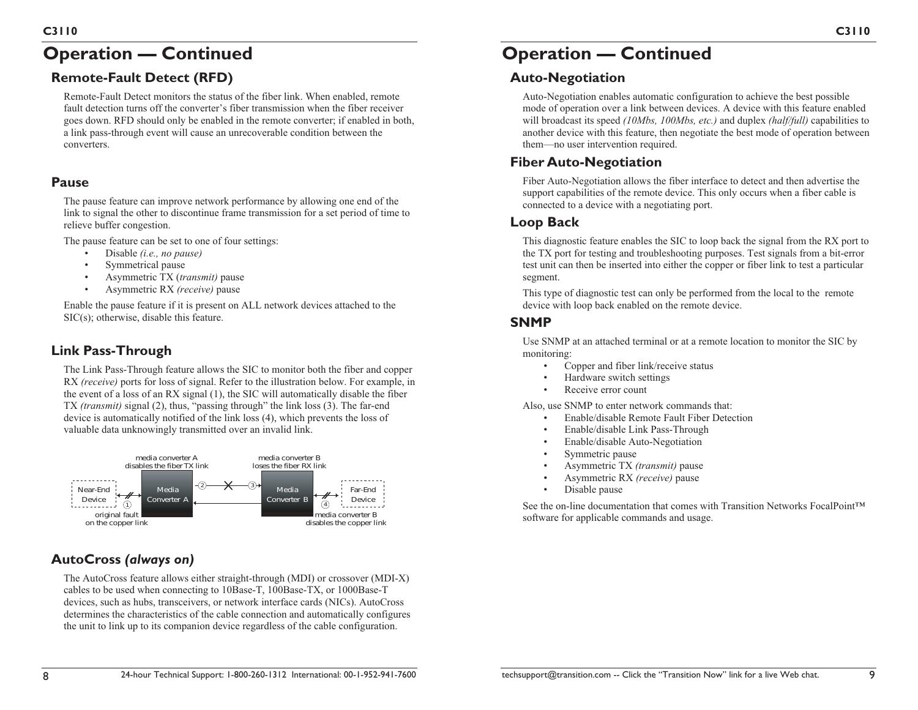# **Operation — Continued**

# **Remote-Fault Detect (RFD)**

Remote-Fault Detect monitors the status of the fiber link. When enabled, remote fault detection turns off the converter's fiber transmission when the fiber receiver goes down. RFD should only be enabled in the remote converter; if enabled in both, a link pass-through event will cause an unrecoverable condition between the converters.

## **Pause**

The pause feature can improve network performance by allowing one end of the link to signal the other to discontinue frame transmission for a set period of time to relieve buffer congestion.

The pause feature can be set to one of four settings:

- •Disable *(i.e., no pause)*
- •Symmetrical pause
- •Asymmetric TX (*transmit)* pause
- •Asymmetric RX *(receive)* pause

Enable the pause feature if it is present on ALL network devices attached to the SIC(s); otherwise, disable this feature.

## **Link Pass-Through**

The Link Pass-Through feature allows the SIC to monitor both the fiber and copper RX *(receive)* ports for loss of signal. Refer to the illustration below. For example, in the event of a loss of an RX signal (1), the SIC will automatically disable the fiber TX *(transmit)* signal (2), thus, "passing through" the link loss (3). The far-end device is automatically notified of the link loss (4), which prevents the loss of valuable data unknowingly transmitted over an invalid link.



# **AutoCross** *(always on)*

The AutoCross feature allows either straight-through (MDI) or crossover (MDI-X) cables to be used when connecting to 10Base-T, 100Base-TX, or 1000Base-T devices, such as hubs, transceivers, or network interface cards (NICs). AutoCross determines the characteristics of the cable connection and automatically configures the unit to link up to its companion device regardless of the cable configuration.

# **Operation — Continued**

## **Auto-Negotiation**

Auto-Negotiation enables automatic configuration to achieve the best possible mode of operation over a link between devices. A device with this feature enabled will broadcast its speed *(10Mbs, 100Mbs, etc.)* and duplex *(half/full)* capabilities to another device with this feature, then negotiate the best mode of operation between them—no user intervention required.

# **Fiber Auto-Negotiation**

Fiber Auto-Negotiation allows the fiber interface to detect and then advertise the support capabilities of the remote device. This only occurs when a fiber cable is connected to a device with a negotiating port.

## **Loop Back**

This diagnostic feature enables the SIC to loop back the signal from the RX port to the TX port for testing and troubleshooting purposes. Test signals from a bit-error test unit can then be inserted into either the copper or fiber link to test a particular segment.

This type of diagnostic test can only be performed from the local to the remote device with loop back enabled on the remote device.

## **SNMP**

Use SNMP at an attached terminal or at a remote location to monitor the SIC by monitoring:

- •Copper and fiber link/receive status
- •Hardware switch settings
- •Receive error count

Also, use SNMP to enter network commands that:

- •Enable/disable Remote Fault Fiber Detection
- •Enable/disable Link Pass-Through
- •Enable/disable Auto-Negotiation
- Symmetric pause
- •Asymmetric TX *(transmit)* pause
- •Asymmetric RX *(receive)* pause
- •Disable pause

See the on-line documentation that comes with Transition Networks FocalPoint™ software for applicable commands and usage.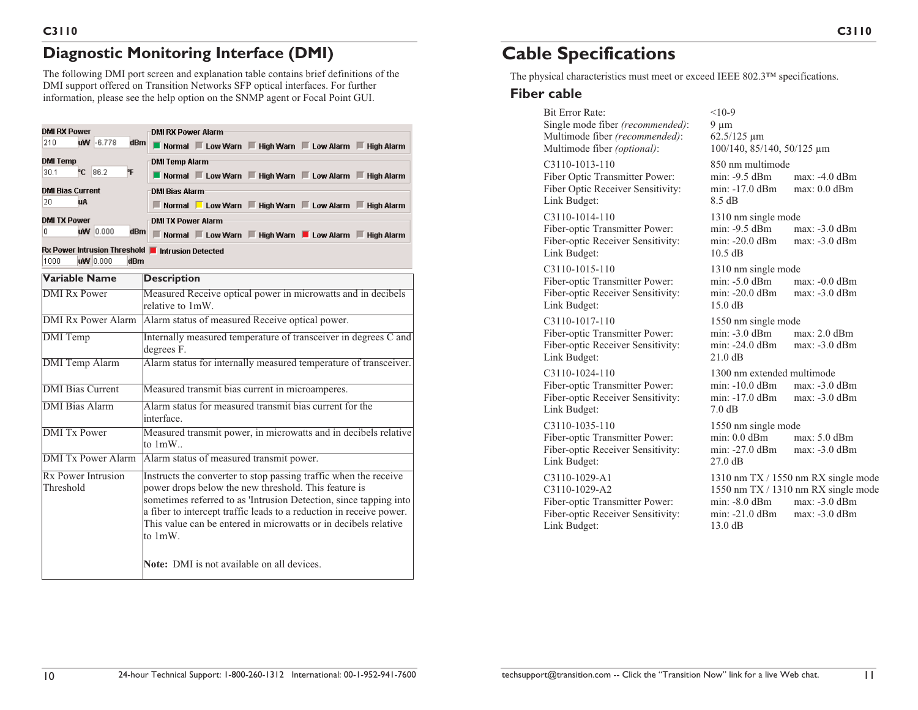# **Diagnostic Monitoring Interface (DMI)**

The following DMI port screen and explanation table contains brief definitions of the DMI support offered on Transition Networks SFP optical interfaces. For further information, please see the help option on the SNMP agent or Focal Point GUI.

| DMI RX Power                                                                 | <b>DMI RX Power Alarm</b>                                                                                                                                                                                                                                                                                                                             |  |  |
|------------------------------------------------------------------------------|-------------------------------------------------------------------------------------------------------------------------------------------------------------------------------------------------------------------------------------------------------------------------------------------------------------------------------------------------------|--|--|
| $WW - 6.778$<br>210<br>dBm                                                   | Normal ELow Warn El High Warn ELow Alarm El High Alarm                                                                                                                                                                                                                                                                                                |  |  |
| <b>DMI Temp</b>                                                              | <b>DMI Temp Alarm</b>                                                                                                                                                                                                                                                                                                                                 |  |  |
| <b>C</b> 86.2<br>۴F<br>30.1                                                  | Normal ELow Warn El High Warn ELow Alarm El High Alarm                                                                                                                                                                                                                                                                                                |  |  |
| <b>DMI Bias Current</b>                                                      | <b>DMI Bias Alarm</b>                                                                                                                                                                                                                                                                                                                                 |  |  |
| 20<br>uA                                                                     | Normal Low Warn Figh Warn Low Alarm Figh Alarm                                                                                                                                                                                                                                                                                                        |  |  |
| <b>DMI TX Power</b>                                                          | <b>DMI TX Power Alarm</b>                                                                                                                                                                                                                                                                                                                             |  |  |
| uW 0.000<br>dBm<br>n                                                         | Normal Low Warn High Warn Low Alarm High Alarm                                                                                                                                                                                                                                                                                                        |  |  |
| Rx Power Intrusion Threshold   Intrusion Detected<br>uw 0.000<br>1000<br>dBm |                                                                                                                                                                                                                                                                                                                                                       |  |  |
| Variable Name                                                                | <b>Description</b>                                                                                                                                                                                                                                                                                                                                    |  |  |
| <b>DMI</b> Rx Power                                                          | Measured Receive optical power in microwatts and in decibels<br>relative to 1mW.                                                                                                                                                                                                                                                                      |  |  |
| <b>DMI Rx Power Alarm</b>                                                    | Alarm status of measured Receive optical power.                                                                                                                                                                                                                                                                                                       |  |  |
| <b>DMI</b> Temp                                                              | Internally measured temperature of transceiver in degrees C and<br>degrees F.                                                                                                                                                                                                                                                                         |  |  |
| <b>DMI</b> Temp Alarm                                                        | Alarm status for internally measured temperature of transceiver.                                                                                                                                                                                                                                                                                      |  |  |
| <b>DMI</b> Bias Current                                                      | Measured transmit bias current in microamperes.                                                                                                                                                                                                                                                                                                       |  |  |
| <b>DMI</b> Bias Alarm                                                        | Alarm status for measured transmit bias current for the<br>interface.                                                                                                                                                                                                                                                                                 |  |  |
| <b>DMI</b> Tx Power                                                          | Measured transmit power, in microwatts and in decibels relative<br>to $1mW$                                                                                                                                                                                                                                                                           |  |  |
| <b>DMI</b> Tx Power Alarm                                                    | Alarm status of measured transmit power.                                                                                                                                                                                                                                                                                                              |  |  |
| Rx Power Intrusion<br>Threshold                                              | Instructs the converter to stop passing traffic when the receive<br>power drops below the new threshold. This feature is<br>sometimes referred to as 'Intrusion Detection, since tapping into<br>a fiber to intercept traffic leads to a reduction in receive power.<br>This value can be entered in microwatts or in decibels relative<br>to $1mW$ . |  |  |
|                                                                              | <b>Note:</b> DMI is not available on all devices.                                                                                                                                                                                                                                                                                                     |  |  |

# **Cable Specifications**

The physical characteristics must meet or exceed IEEE 802.3™ specifications.

## **Fiber cable**

| <b>Bit Error Rate:</b><br>Single mode fiber (recommended):<br>Multimode fiber (recommended):<br>Multimode fiber (optional): | $<10-9$<br>9 µm<br>62.5/125 µm<br>100/140, 85/140, 50/125 μm                       |                                                                                                                |
|-----------------------------------------------------------------------------------------------------------------------------|------------------------------------------------------------------------------------|----------------------------------------------------------------------------------------------------------------|
| $C3110-1013-110$<br>Fiber Optic Transmitter Power:<br>Fiber Optic Receiver Sensitivity:<br>Link Budget:                     | 850 nm multimode<br>min: -9.5 dBm<br>min: -17.0 dBm<br>8.5 dB                      | $max: -4.0$ dBm<br>$max: 0.0$ dBm                                                                              |
| $C3110-1014-110$<br>Fiber-optic Transmitter Power:<br>Fiber-optic Receiver Sensitivity:<br>Link Budget:                     | 1310 nm single mode<br>$min: -9.5$ dBm<br>$min: -20.0$ dB $m$<br>$10.5$ dB         | $max: -3.0$ dBm<br>$max: -3.0$ dBm                                                                             |
| $C3110-1015-110$<br>Fiber-optic Transmitter Power:<br>Fiber-optic Receiver Sensitivity:<br>Link Budget:                     | 1310 nm single mode<br>$min: -5.0$ dBm<br>$min: -20.0$ dB $m$<br>$15.0 \text{ dB}$ | $max: -0.0$ dBm<br>$max: -3.0$ dBm                                                                             |
| C3110-1017-110<br>Fiber-optic Transmitter Power:<br>Fiber-optic Receiver Sensitivity:<br>Link Budget:                       | 1550 nm single mode<br>$min: -3.0$ dBm<br>min: -24.0 dBm<br>21.0 dB                | $max: 2.0$ dBm<br>max: -3.0 dBm                                                                                |
| $C3110-1024-110$<br>Fiber-optic Transmitter Power:<br>Fiber-optic Receiver Sensitivity:<br>Link Budget:                     | 1300 nm extended multimode<br>$min: -10.0$ dBm<br>$min: -17.0$ dBm<br>7.0 dB       | max: -3.0 dBm<br>$max: -3.0$ dBm                                                                               |
| C3110-1035-110<br>Fiber-optic Transmitter Power:<br>Fiber-optic Receiver Sensitivity:<br>Link Budget:                       | 1550 nm single mode<br>$min: 0.0$ dB $m$<br>min: -27.0 dBm<br>27.0 dB              | $max: 5.0$ dBm<br>$max: -3.0$ dBm                                                                              |
| C3110-1029-A1<br>$C3110-1029-A2$<br>Fiber-optic Transmitter Power:<br>Fiber-optic Receiver Sensitivity:<br>Link Budget:     | $min: -8.0$ dBm<br>$min: -21.0$ dB $m$<br>$13.0 \text{ dB}$                        | 1310 nm $TX/1550$ nm RX single mode<br>1550 nm TX / 1310 nm RX single mode<br>$max: -3.0$ dBm<br>max: -3.0 dBm |
|                                                                                                                             |                                                                                    |                                                                                                                |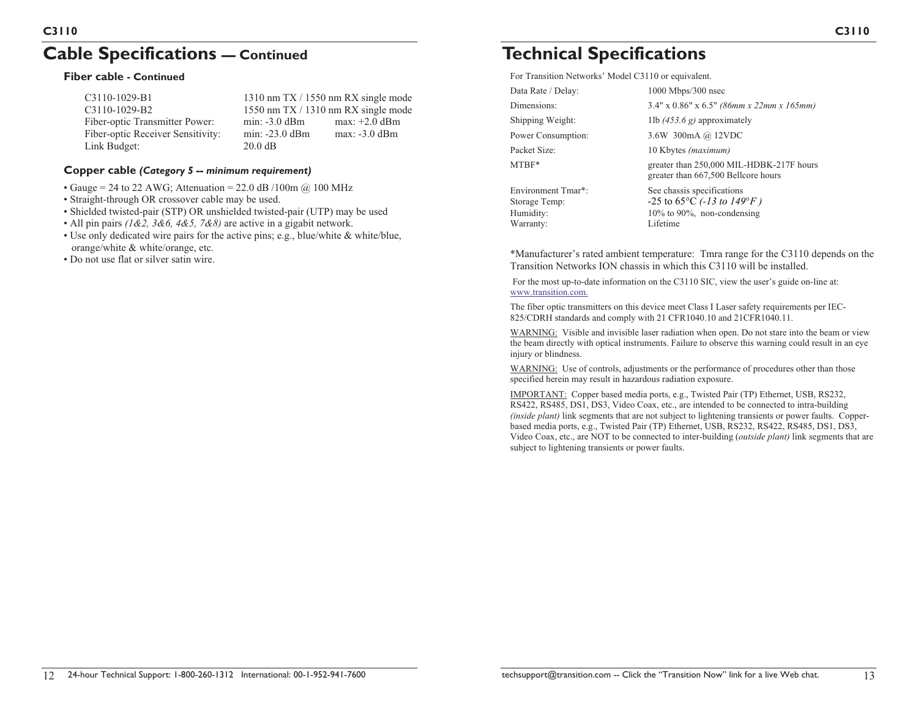# **Cable Specifications — Continued**

#### **Fiber cable - Continued**

| C3110-1029-B1                     | 1310 nm TX / 1550 nm RX single mode |                 |  |
|-----------------------------------|-------------------------------------|-----------------|--|
| $C3110-1029-B2$                   | 1550 nm $TX/1310$ nm RX single mode |                 |  |
| Fiber-optic Transmitter Power:    | $min: -3.0$ dB $m$                  | $max: +2.0$ dBm |  |
| Fiber-optic Receiver Sensitivity: | $min: -23.0$ dBm                    | max: -3.0 dBm   |  |
| Link Budget:                      | $20.0 \text{ dB}$                   |                 |  |
|                                   |                                     |                 |  |

#### **Copper cable** *(Category 5 -- minimum requirement)*

- Gauge = 24 to 22 AWG; Attenuation = 22.0 dB /100m  $\omega$  100 MHz
- Straight-through OR crossover cable may be used.
- Shielded twisted-pair (STP) OR unshielded twisted-pair (UTP) may be used
- All pin pairs *(1&2, 3&6, 4&5, 7&8)* are active in a gigabit network.
- Use only dedicated wire pairs for the active pins; e.g., blue/white & white/blue, orange/white & white/orange, etc.
- Do not use flat or silver satin wire.

# **Technical Specifications**

For Transition Networks' Model C3110 or equivalent.

| Data Rate / Delay:        | $1000$ Mbps/300 nsec                                                            |  |
|---------------------------|---------------------------------------------------------------------------------|--|
| Dimensions:               | $3.4"$ x 0.86" x 6.5" (86mm x 22mm x 165mm)                                     |  |
| Shipping Weight:          | 1lb $(453.6 g)$ approximately                                                   |  |
| Power Consumption:        | 3.6W 300mA @ 12VDC                                                              |  |
| Packet Size:              | 10 Kbytes (maximum)                                                             |  |
| MTBF*                     | greater than 250,000 MIL-HDBK-217F hours<br>greater than 667,500 Bellcore hours |  |
| <b>Environment Tmar*:</b> | See chassis specifications                                                      |  |
| Storage Temp:             | -25 to 65 $\rm{^{\circ}C}$ (-13 to 149 $\rm{^{\circ}F}$ )                       |  |
| Humidity:                 | $10\%$ to 90%, non-condensing                                                   |  |
| Warranty:                 | Lifetime                                                                        |  |

\*Manufacturer's rated ambient temperature: Tmra range for the C3110 depends on the Transition Networks ION chassis in which this C3110 will be installed.

For the most up-to-date information on the C3110 SIC, view the user's guide on-line at: www.transition.com.

The fiber optic transmitters on this device meet Class I Laser safety requirements per IEC-825/CDRH standards and comply with 21 CFR1040.10 and 21CFR1040.11.

WARNING: Visible and invisible laser radiation when open. Do not stare into the beam or view the beam directly with optical instruments. Failure to observe this warning could result in an eye injury or blindness.

WARNING: Use of controls, adjustments or the performance of procedures other than those specified herein may result in hazardous radiation exposure.

IMPORTANT: Copper based media ports, e.g., Twisted Pair (TP) Ethernet, USB, RS232, RS422, RS485, DS1, DS3, Video Coax, etc., are intended to be connected to intra-building *(inside plant)* link segments that are not subject to lightening transients or power faults. Copperbased media ports, e.g., Twisted Pair (TP) Ethernet, USB, RS232, RS422, RS485, DS1, DS3, Video Coax, etc., are NOT to be connected to inter-building (*outside plant)* link segments that are subject to lightening transients or power faults.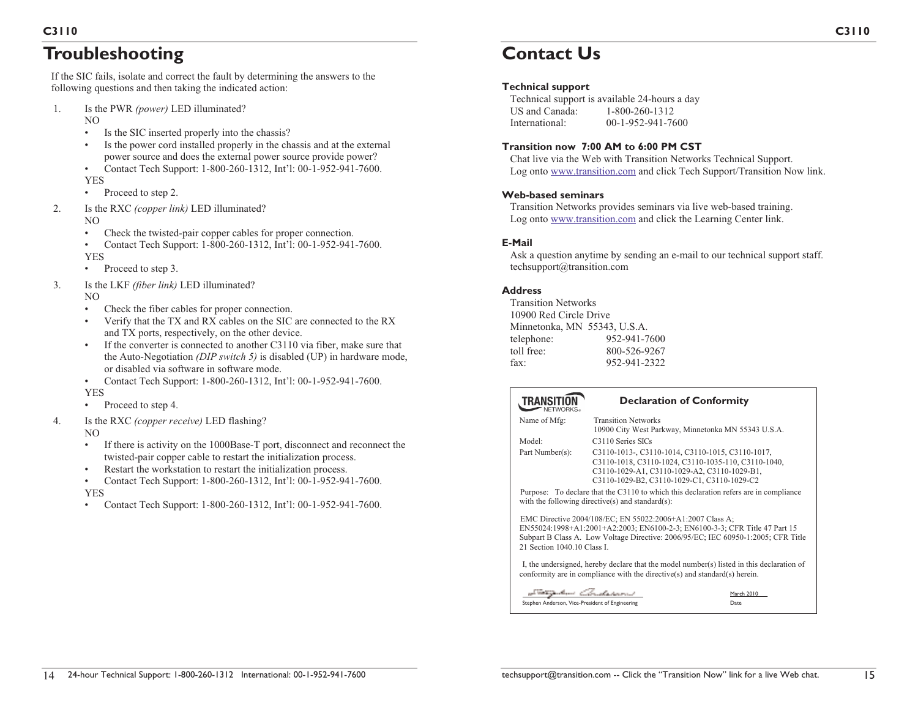# **Troubleshooting**

If the SIC fails, isolate and correct the fault by determining the answers to the following questions and then taking the indicated action:

1. Is the PWR *(power)* LED illuminated?

NO

- •Is the SIC inserted properly into the chassis?
- • Is the power cord installed properly in the chassis and at the external power source and does the external power source provide power?
- • Contact Tech Support: 1-800-260-1312, Int'l: 00-1-952-941-7600. YES
- Proceed to step 2.
- 2. Is the RXC *(copper link)* LED illuminated?

NO

•

- •Check the twisted-pair copper cables for proper connection.
- • Contact Tech Support: 1-800-260-1312, Int'l: 00-1-952-941-7600. YES
- •Proceed to step 3.
- 3. Is the LKF *(fiber link)* LED illuminated?

NO

- •Check the fiber cables for proper connection.
- • Verify that the TX and RX cables on the SIC are connected to the RX and TX ports, respectively, on the other device.
- • If the converter is connected to another C3110 via fiber, make sure that the Auto-Negotiation *(DIP switch 5)* is disabled (UP) in hardware mode, or disabled via software in software mode.
- • Contact Tech Support: 1-800-260-1312, Int'l: 00-1-952-941-7600. YES
- •Proceed to step 4.
- 4. Is the RXC *(copper receive)* LED flashing?

NO

- • If there is activity on the 1000Base-T port, disconnect and reconnect the twisted-pair copper cable to restart the initialization process.
- •Restart the workstation to restart the initialization process.
- • Contact Tech Support: 1-800-260-1312, Int'l: 00-1-952-941-7600. YES
- Contact Tech Support: 1-800-260-1312, Int'l: 00-1-952-941-7600.

# **Contact Us**

## **Technical support**

Technical support is available 24-hours a day US and Canada: 1-800-260-1312 International: 00-1-952-941-7600

## **Transition now 7:00 AM to 6:00 PM CST**

Chat live via the Web with Transition Networks Technical Support. Log onto www.transition.com and click Tech Support/Transition Now link.

#### **Web-based seminars**

Transition Networks provides seminars via live web-based training. Log onto www.transition.com and click the Learning Center link.

## **E-Mail**

Ask a question anytime by sending an e-mail to our technical support staff. techsupport@transition.com

#### **Address**

Transition Networks 10900 Red Circle Drive Minnetonka, MN 55343, U.S.A. telephone: 952-941-7600 toll free: 800-526-9267 fax: 952-941-2322

#### **TRANSITION**

#### **Declaration of Conformity**

| Name of Mfg:                                                                                                                                                                                                                                                | <b>Transition Networks</b><br>10900 City West Parkway, Minnetonka MN 55343 U.S.A.                                                                                                                      |                    |  |
|-------------------------------------------------------------------------------------------------------------------------------------------------------------------------------------------------------------------------------------------------------------|--------------------------------------------------------------------------------------------------------------------------------------------------------------------------------------------------------|--------------------|--|
| Model:                                                                                                                                                                                                                                                      | C3110 Series SICs                                                                                                                                                                                      |                    |  |
| Part Number(s):                                                                                                                                                                                                                                             | C3110-1013-, C3110-1014, C3110-1015, C3110-1017,<br>C3110-1018, C3110-1024, C3110-1035-110, C3110-1040,<br>C3110-1029-A1, C3110-1029-A2, C3110-1029-B1,<br>C3110-1029-B2, C3110-1029-C1, C3110-1029-C2 |                    |  |
| Purpose: To declare that the C3110 to which this declaration refers are in compliance<br>with the following directive(s) and standard(s):                                                                                                                   |                                                                                                                                                                                                        |                    |  |
| EMC Directive 2004/108/EC; EN 55022:2006+A1:2007 Class A;<br>EN55024:1998+A1:2001+A2:2003; EN6100-2-3; EN6100-3-3; CFR Title 47 Part 15<br>Subpart B Class A. Low Voltage Directive: 2006/95/EC; IEC 60950-1:2005; CFR Title<br>21 Section 1040.10 Class I. |                                                                                                                                                                                                        |                    |  |
| I, the undersigned, hereby declare that the model number(s) listed in this declaration of<br>conformity are in compliance with the directive(s) and standard(s) herein.                                                                                     |                                                                                                                                                                                                        |                    |  |
| a <sup>t me</sup> tri alam <i>Christanov</i><br>Stephen Anderson, Vice-President of Engineering                                                                                                                                                             |                                                                                                                                                                                                        | March 2010<br>Date |  |